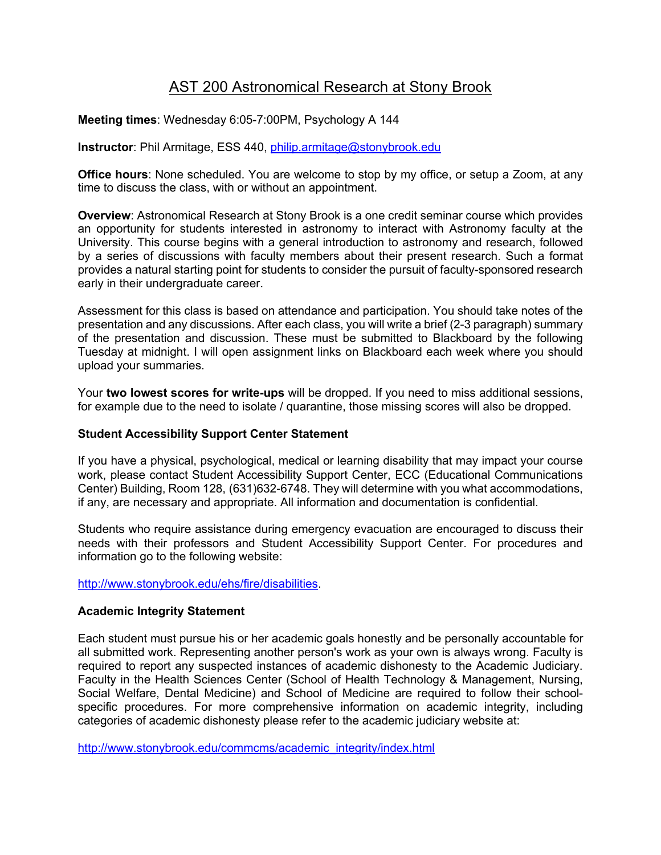# AST 200 Astronomical Research at Stony Brook

## **Meeting times**: Wednesday 6:05-7:00PM, Psychology A 144

**Instructor**: Phil Armitage, ESS 440, philip.armitage@stonybrook.edu

**Office hours**: None scheduled. You are welcome to stop by my office, or setup a Zoom, at any time to discuss the class, with or without an appointment.

**Overview**: Astronomical Research at Stony Brook is a one credit seminar course which provides an opportunity for students interested in astronomy to interact with Astronomy faculty at the University. This course begins with a general introduction to astronomy and research, followed by a series of discussions with faculty members about their present research. Such a format provides a natural starting point for students to consider the pursuit of faculty-sponsored research early in their undergraduate career.

Assessment for this class is based on attendance and participation. You should take notes of the presentation and any discussions. After each class, you will write a brief (2-3 paragraph) summary of the presentation and discussion. These must be submitted to Blackboard by the following Tuesday at midnight. I will open assignment links on Blackboard each week where you should upload your summaries.

Your **two lowest scores for write-ups** will be dropped. If you need to miss additional sessions, for example due to the need to isolate / quarantine, those missing scores will also be dropped.

#### **Student Accessibility Support Center Statement**

If you have a physical, psychological, medical or learning disability that may impact your course work, please contact Student Accessibility Support Center, ECC (Educational Communications Center) Building, Room 128, (631)632-6748. They will determine with you what accommodations, if any, are necessary and appropriate. All information and documentation is confidential.

Students who require assistance during emergency evacuation are encouraged to discuss their needs with their professors and Student Accessibility Support Center. For procedures and information go to the following website:

http://www.stonybrook.edu/ehs/fire/disabilities.

#### **Academic Integrity Statement**

Each student must pursue his or her academic goals honestly and be personally accountable for all submitted work. Representing another person's work as your own is always wrong. Faculty is required to report any suspected instances of academic dishonesty to the Academic Judiciary. Faculty in the Health Sciences Center (School of Health Technology & Management, Nursing, Social Welfare, Dental Medicine) and School of Medicine are required to follow their schoolspecific procedures. For more comprehensive information on academic integrity, including categories of academic dishonesty please refer to the academic judiciary website at:

http://www.stonybrook.edu/commcms/academic\_integrity/index.html